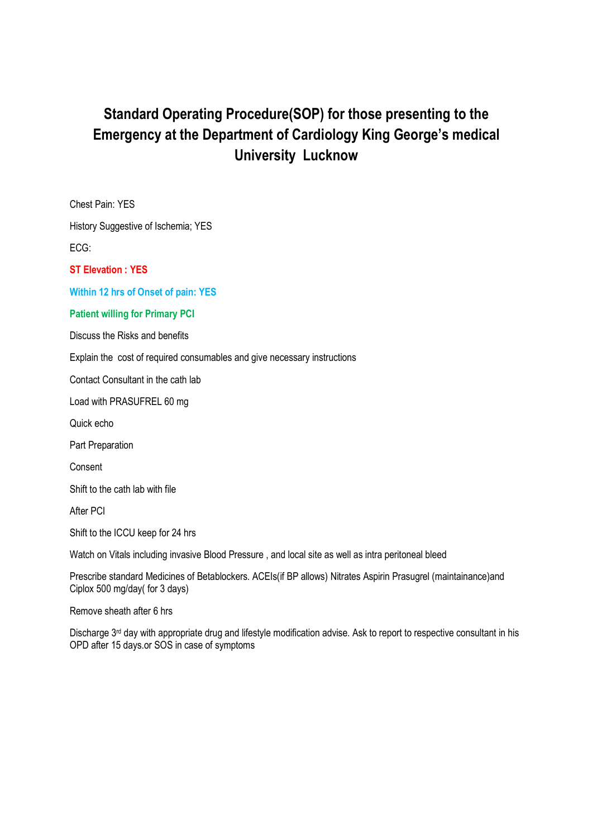# **Standard Operating Procedure(SOP) for those presenting to the Emergency at the Department of Cardiology King George's medical University Lucknow**

Chest Pain: YES

History Suggestive of Ischemia; YES

ECG:

**ST Elevation : YES** 

**Within 12 hrs of Onset of pain: YES** 

#### **Patient willing for Primary PCI**

Discuss the Risks and benefits

Explain the cost of required consumables and give necessary instructions

Contact Consultant in the cath lab

Load with PRASUFREL 60 mg

Quick echo

Part Preparation

Consent

Shift to the cath lab with file

After PCI

Shift to the ICCU keep for 24 hrs

Watch on Vitals including invasive Blood Pressure , and local site as well as intra peritoneal bleed

Prescribe standard Medicines of Betablockers. ACEIs(if BP allows) Nitrates Aspirin Prasugrel (maintainance)and Ciplox 500 mg/day( for 3 days)

Remove sheath after 6 hrs

Discharge 3<sup>rd</sup> day with appropriate drug and lifestyle modification advise. Ask to report to respective consultant in his OPD after 15 days.or SOS in case of symptoms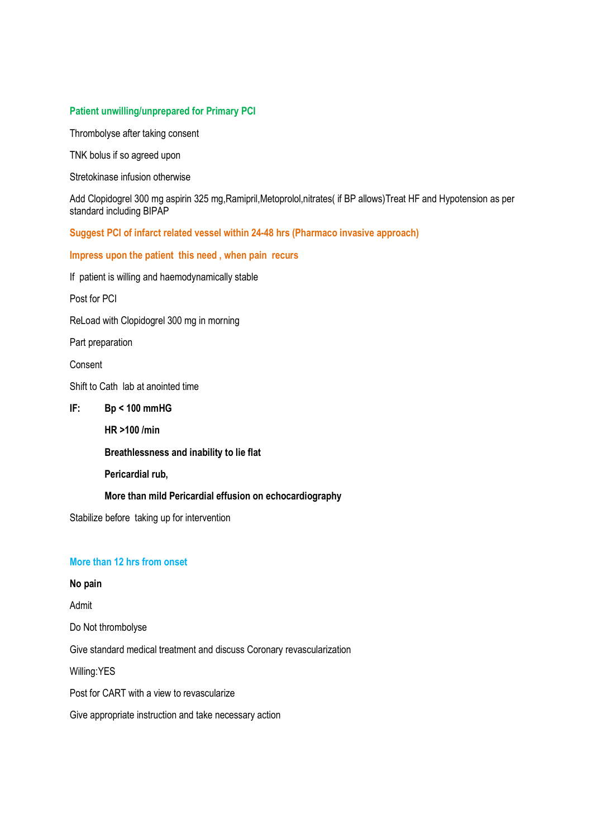#### **Patient unwilling/unprepared for Primary PCI**

Thrombolyse after taking consent

TNK bolus if so agreed upon

Stretokinase infusion otherwise

Add Clopidogrel 300 mg aspirin 325 mg,Ramipril,Metoprolol,nitrates( if BP allows)Treat HF and Hypotension as per standard including BIPAP

**Suggest PCI of infarct related vessel within 24-48 hrs (Pharmaco invasive approach)** 

**Impress upon the patient this need , when pain recurs** 

If patient is willing and haemodynamically stable

Post for PCI

ReLoad with Clopidogrel 300 mg in morning

Part preparation

Consent

Shift to Cath lab at anointed time

#### **IF: Bp < 100 mmHG**

**HR >100 /min** 

**Breathlessness and inability to lie flat** 

**Pericardial rub,** 

**More than mild Pericardial effusion on echocardiography** 

Stabilize before taking up for intervention

## **More than 12 hrs from onset**

## **No pain**

Admit

Do Not thrombolyse

Give standard medical treatment and discuss Coronary revascularization

Willing:YES

Post for CART with a view to revascularize

Give appropriate instruction and take necessary action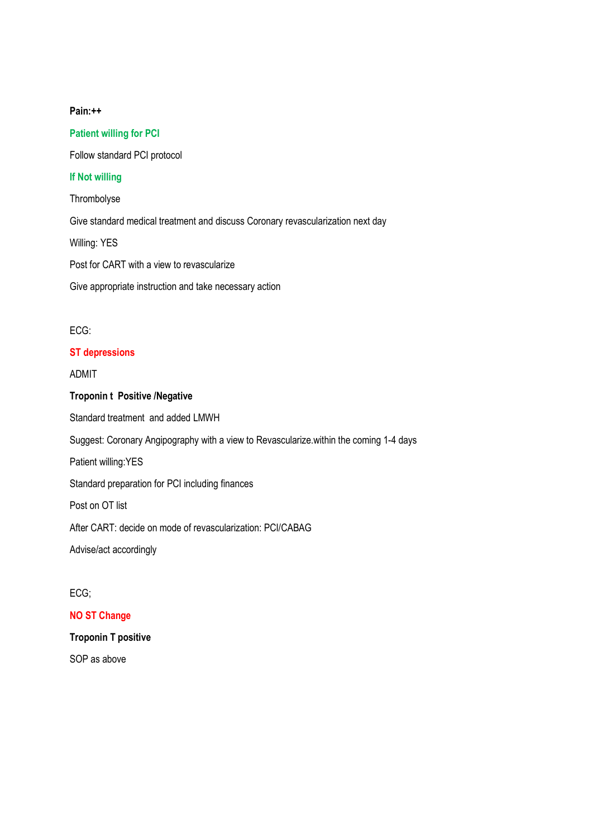#### **Pain:++**

# **Patient willing for PCI**

Follow standard PCI protocol

## **If Not willing**

Thrombolyse

Give standard medical treatment and discuss Coronary revascularization next day

Willing: YES

Post for CART with a view to revascularize

Give appropriate instruction and take necessary action

#### ECG:

#### **ST depressions**

ADMIT

#### **Troponin t Positive /Negative**

Standard treatment and added LMWH

Suggest: Coronary Angipography with a view to Revascularize.within the coming 1-4 days

Patient willing:YES

Standard preparation for PCI including finances

Post on OT list

After CART: decide on mode of revascularization: PCI/CABAG

Advise/act accordingly

## ECG;

## **NO ST Change**

#### **Troponin T positive**

SOP as above